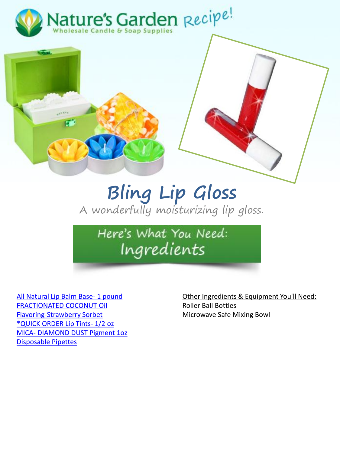



## **Bling Lip Gloss** A wonderfully moisturizing lip gloss.

Here's What You Need: Ingredients

[All Natural Lip Balm Base-](http://www.naturesgardencandles.com/candlemaking-soap-supplies/item/lipbalm/--all-natural-lip-balm-base--1-pound.html) 1 pound [FRACTIONATED COCONUT Oil](http://www.naturesgardencandles.com/candlemaking-soap-supplies/item/frcoc/-fractionated-coconut-oil.html) [Flavoring-Strawberry Sorbet](http://www.naturesgardencandles.com/candlemaking-soap-supplies/item/newflav23/-flavoring-strawberry-sorbet-.html) [\\*QUICK ORDER Lip Tints-](http://www.naturesgardencandles.com/candlemaking-soap-supplies/item/liptint/-quick-order-lip-tints--1-2-oz.html) 1/2 oz MICA- [DIAMOND DUST Pigment 1oz](http://www.naturesgardencandles.com/candlemaking-soap-supplies/item/diamica/-mica--diamond-dust-pigment-1oz.html) [Disposable Pipettes](http://www.naturesgardencandles.com/candlemaking-soap-supplies/item/pipe/-disposable-pipettes.html)

Other Ingredients & Equipment You'll Need: Roller Ball Bottles Microwave Safe Mixing Bowl